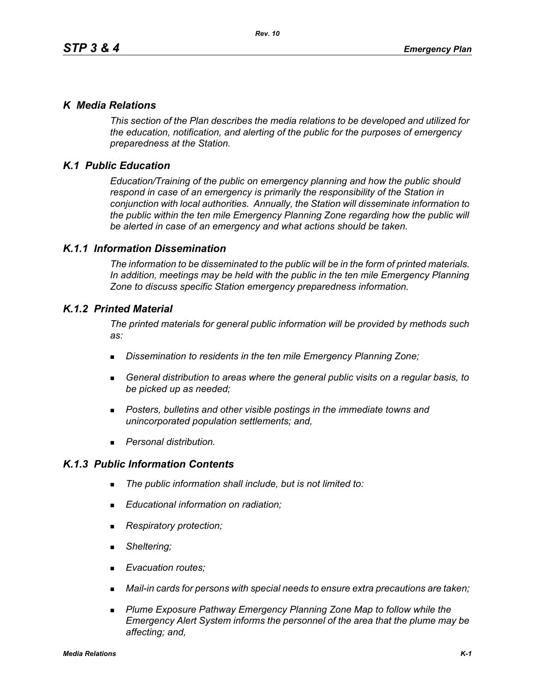## *K Media Relations*

*This section of the Plan describes the media relations to be developed and utilized for the education, notification, and alerting of the public for the purposes of emergency preparedness at the Station.*

# *K.1 Public Education*

*Education/Training of the public on emergency planning and how the public should respond in case of an emergency is primarily the responsibility of the Station in conjunction with local authorities. Annually, the Station will disseminate information to the public within the ten mile Emergency Planning Zone regarding how the public will be alerted in case of an emergency and what actions should be taken.* 

### *K.1.1 Information Dissemination*

*The information to be disseminated to the public will be in the form of printed materials. In addition, meetings may be held with the public in the ten mile Emergency Planning Zone to discuss specific Station emergency preparedness information.* 

### *K.1.2 Printed Material*

*The printed materials for general public information will be provided by methods such as:* 

- *Dissemination to residents in the ten mile Emergency Planning Zone;*
- *General distribution to areas where the general public visits on a regular basis, to be picked up as needed;*
- *Posters, bulletins and other visible postings in the immediate towns and unincorporated population settlements; and,*
- *Personal distribution.*

## *K.1.3 Public Information Contents*

- *The public information shall include, but is not limited to:*
- *Educational information on radiation;*
- *Respiratory protection;*
- *Sheltering;*
- *Evacuation routes;*
- *Mail-in cards for persons with special needs to ensure extra precautions are taken;*
- **Plume Exposure Pathway Emergency Planning Zone Map to follow while the** *Emergency Alert System informs the personnel of the area that the plume may be affecting; and,*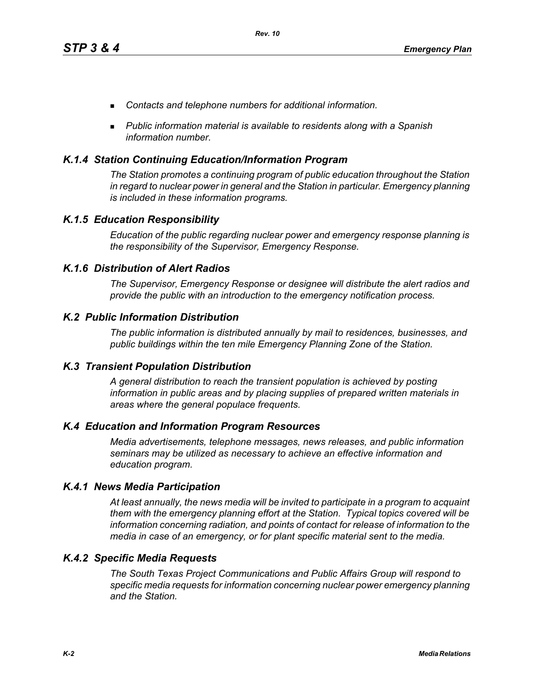- *Contacts and telephone numbers for additional information.*
- *Public information material is available to residents along with a Spanish information number.*

### *K.1.4 Station Continuing Education/Information Program*

*The Station promotes a continuing program of public education throughout the Station in regard to nuclear power in general and the Station in particular. Emergency planning is included in these information programs.* 

### *K.1.5 Education Responsibility*

*Education of the public regarding nuclear power and emergency response planning is the responsibility of the Supervisor, Emergency Response.* 

### *K.1.6 Distribution of Alert Radios*

*The Supervisor, Emergency Response or designee will distribute the alert radios and provide the public with an introduction to the emergency notification process.* 

### *K.2 Public Information Distribution*

*The public information is distributed annually by mail to residences, businesses, and public buildings within the ten mile Emergency Planning Zone of the Station.*

#### *K.3 Transient Population Distribution*

*A general distribution to reach the transient population is achieved by posting information in public areas and by placing supplies of prepared written materials in areas where the general populace frequents.* 

### *K.4 Education and Information Program Resources*

*Media advertisements, telephone messages, news releases, and public information seminars may be utilized as necessary to achieve an effective information and education program.* 

#### *K.4.1 News Media Participation*

*At least annually, the news media will be invited to participate in a program to acquaint them with the emergency planning effort at the Station. Typical topics covered will be information concerning radiation, and points of contact for release of information to the media in case of an emergency, or for plant specific material sent to the media.*

#### *K.4.2 Specific Media Requests*

*The South Texas Project Communications and Public Affairs Group will respond to specific media requests for information concerning nuclear power emergency planning and the Station.*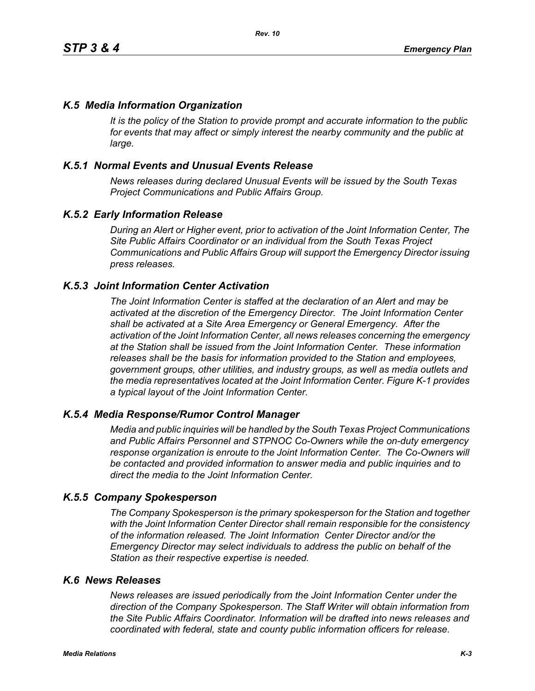## *K.5 Media Information Organization*

*It is the policy of the Station to provide prompt and accurate information to the public*  for events that may affect or simply interest the nearby community and the public at *large.* 

## *K.5.1 Normal Events and Unusual Events Release*

*News releases during declared Unusual Events will be issued by the South Texas Project Communications and Public Affairs Group.* 

### *K.5.2 Early Information Release*

*During an Alert or Higher event, prior to activation of the Joint Information Center, The Site Public Affairs Coordinator or an individual from the South Texas Project Communications and Public Affairs Group will support the Emergency Director issuing press releases.* 

### *K.5.3 Joint Information Center Activation*

*The Joint Information Center is staffed at the declaration of an Alert and may be activated at the discretion of the Emergency Director. The Joint Information Center shall be activated at a Site Area Emergency or General Emergency. After the activation of the Joint Information Center, all news releases concerning the emergency at the Station shall be issued from the Joint Information Center. These information releases shall be the basis for information provided to the Station and employees, government groups, other utilities, and industry groups, as well as media outlets and the media representatives located at the Joint Information Center. Figure K-1 provides a typical layout of the Joint Information Center.* 

### *K.5.4 Media Response/Rumor Control Manager*

*Media and public inquiries will be handled by the South Texas Project Communications and Public Affairs Personnel and STPNOC Co-Owners while the on-duty emergency response organization is enroute to the Joint Information Center. The Co-Owners will be contacted and provided information to answer media and public inquiries and to direct the media to the Joint Information Center.*

#### *K.5.5 Company Spokesperson*

*The Company Spokesperson is the primary spokesperson for the Station and together with the Joint Information Center Director shall remain responsible for the consistency of the information released. The Joint Information Center Director and/or the Emergency Director may select individuals to address the public on behalf of the Station as their respective expertise is needed.* 

### *K.6 News Releases*

*News releases are issued periodically from the Joint Information Center under the direction of the Company Spokesperson. The Staff Writer will obtain information from the Site Public Affairs Coordinator. Information will be drafted into news releases and coordinated with federal, state and county public information officers for release.*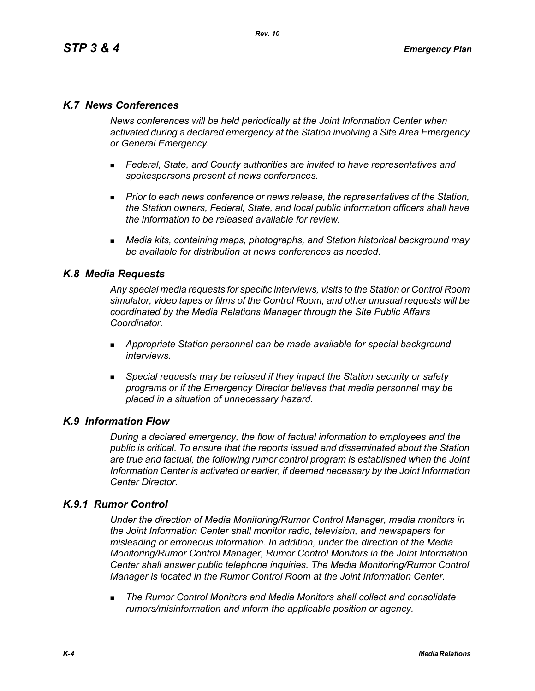## *K.7 News Conferences*

*News conferences will be held periodically at the Joint Information Center when activated during a declared emergency at the Station involving a Site Area Emergency or General Emergency.* 

- *Federal, State, and County authorities are invited to have representatives and spokespersons present at news conferences.*
- **Prior to each news conference or news release, the representatives of the Station,** *the Station owners, Federal, State, and local public information officers shall have the information to be released available for review.*
- *Media kits, containing maps, photographs, and Station historical background may be available for distribution at news conferences as needed.*

## *K.8 Media Requests*

*Any special media requests for specific interviews, visits to the Station or Control Room simulator, video tapes or films of the Control Room, and other unusual requests will be coordinated by the Media Relations Manager through the Site Public Affairs Coordinator.* 

- *Appropriate Station personnel can be made available for special background interviews.*
- *Special requests may be refused if they impact the Station security or safety programs or if the Emergency Director believes that media personnel may be placed in a situation of unnecessary hazard.*

### *K.9 Information Flow*

*During a declared emergency, the flow of factual information to employees and the public is critical. To ensure that the reports issued and disseminated about the Station are true and factual, the following rumor control program is established when the Joint Information Center is activated or earlier, if deemed necessary by the Joint Information Center Director.* 

## *K.9.1 Rumor Control*

*Under the direction of Media Monitoring/Rumor Control Manager, media monitors in the Joint Information Center shall monitor radio, television, and newspapers for misleading or erroneous information. In addition, under the direction of the Media Monitoring/Rumor Control Manager, Rumor Control Monitors in the Joint Information Center shall answer public telephone inquiries. The Media Monitoring/Rumor Control Manager is located in the Rumor Control Room at the Joint Information Center.* 

 *The Rumor Control Monitors and Media Monitors shall collect and consolidate rumors/misinformation and inform the applicable position or agency.*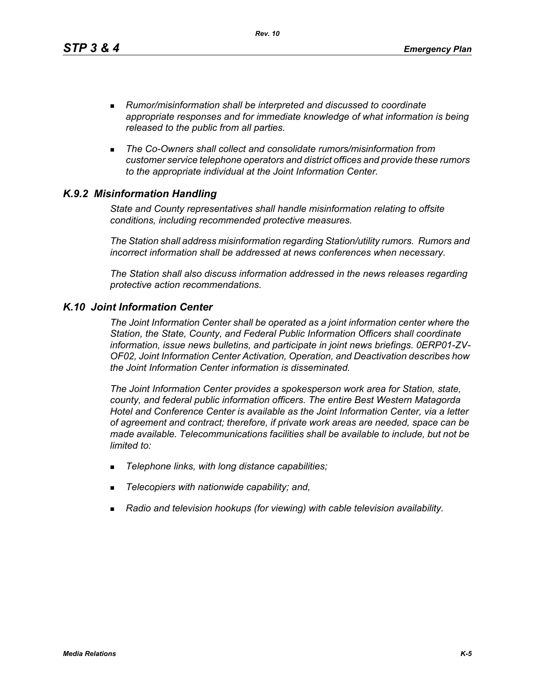*Rev. 10*

- *Rumor/misinformation shall be interpreted and discussed to coordinate appropriate responses and for immediate knowledge of what information is being released to the public from all parties.*
- *The Co-Owners shall collect and consolidate rumors/misinformation from customer service telephone operators and district offices and provide these rumors to the appropriate individual at the Joint Information Center.*

# *K.9.2 Misinformation Handling*

*State and County representatives shall handle misinformation relating to offsite conditions, including recommended protective measures.* 

*The Station shall address misinformation regarding Station/utility rumors. Rumors and incorrect information shall be addressed at news conferences when necessary.* 

*The Station shall also discuss information addressed in the news releases regarding protective action recommendations.* 

## *K.10 Joint Information Center*

*The Joint Information Center shall be operated as a joint information center where the Station, the State, County, and Federal Public Information Officers shall coordinate information, issue news bulletins, and participate in joint news briefings. 0ERP01-ZV-OF02, Joint Information Center Activation, Operation, and Deactivation describes how the Joint Information Center information is disseminated.*

*The Joint Information Center provides a spokesperson work area for Station, state, county, and federal public information officers. The entire Best Western Matagorda Hotel and Conference Center is available as the Joint Information Center, via a letter of agreement and contract; therefore, if private work areas are needed, space can be made available. Telecommunications facilities shall be available to include, but not be limited to:* 

- *Telephone links, with long distance capabilities;*
- *Telecopiers with nationwide capability; and,*
- *Radio and television hookups (for viewing) with cable television availability.*